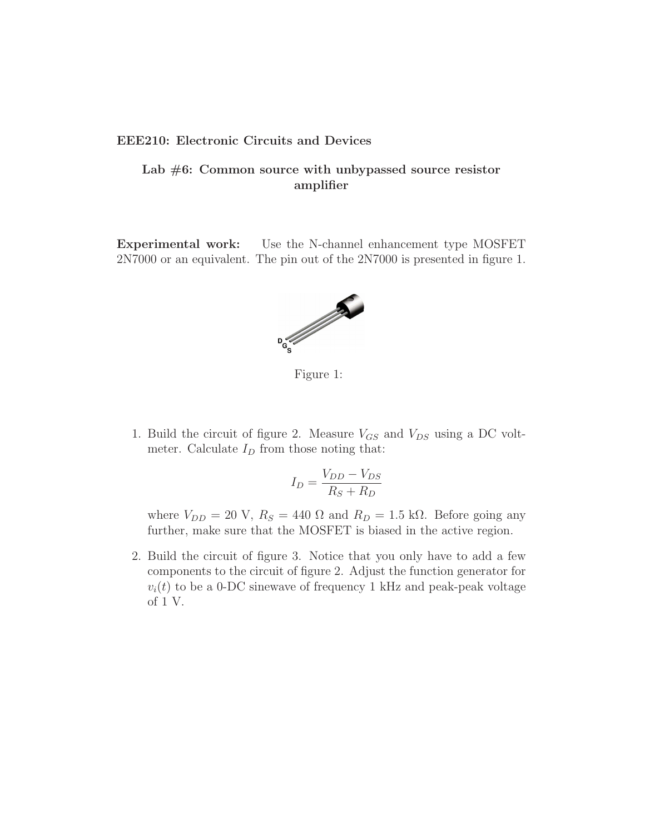## EEE210: Electronic Circuits and Devices

## Lab  $#6$ : Common source with unbypassed source resistor amplifier

Experimental work: Use the N-channel enhancement type MOSFET 2N7000 or an equivalent. The pin out of the 2N7000 is presented in figure 1.



Figure 1:

1. Build the circuit of figure 2. Measure  $V_{GS}$  and  $V_{DS}$  using a DC voltmeter. Calculate  $I_D$  from those noting that:

$$
I_D = \frac{V_{DD} - V_{DS}}{R_S + R_D}
$$

where  $V_{DD} = 20 \text{ V}$ ,  $R_S = 440 \Omega$  and  $R_D = 1.5 \text{ k}\Omega$ . Before going any further, make sure that the MOSFET is biased in the active region.

2. Build the circuit of figure 3. Notice that you only have to add a few components to the circuit of figure 2. Adjust the function generator for  $v_i(t)$  to be a 0-DC sinewave of frequency 1 kHz and peak-peak voltage of 1 V.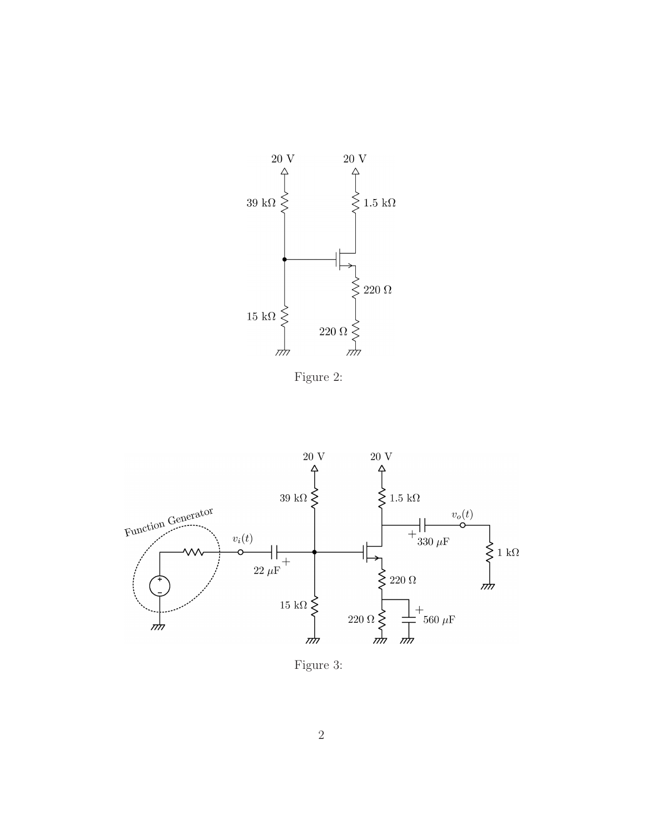

Figure 2:



Figure 3: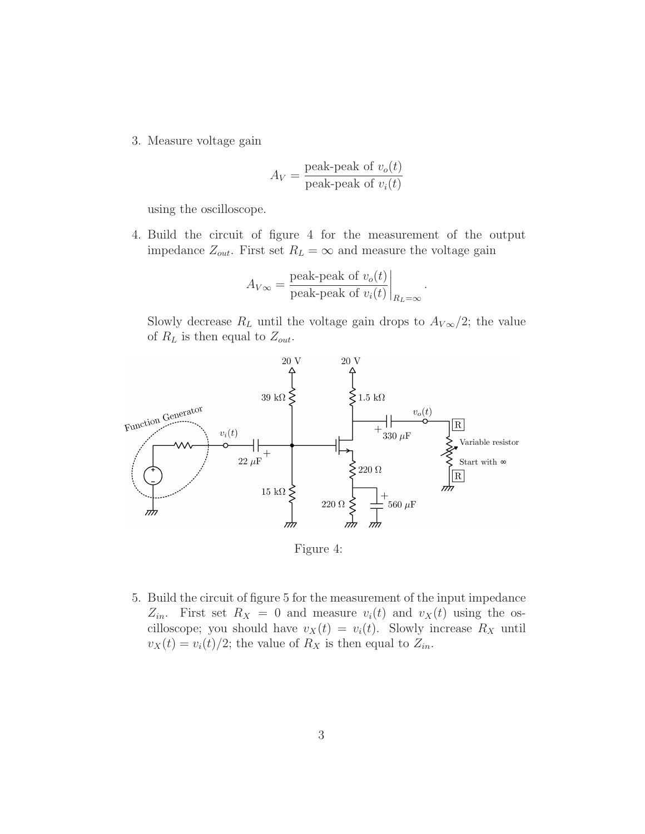3. Measure voltage gain

$$
A_V = \frac{\text{peak-peak of } v_o(t)}{\text{peak-peak of } v_i(t)}
$$

using the oscilloscope.

4. Build the circuit of figure 4 for the measurement of the output impedance  $Z_{out}$ . First set  $R_L = \infty$  and measure the voltage gain

$$
A_{V\infty} = \frac{\text{peak-peak of } v_o(t)}{\text{peak-peak of } v_i(t)}\bigg|_{R_L=\infty}
$$

.

Slowly decrease  $R_L$  until the voltage gain drops to  $A_{V\infty}/2$ ; the value of  $R_L$  is then equal to  $Z_{out}$ .



Figure 4:

5. Build the circuit of figure 5 for the measurement of the input impedance  $Z_{in}$ . First set  $R_X = 0$  and measure  $v_i(t)$  and  $v_X(t)$  using the oscilloscope; you should have  $v_X(t) = v_i(t)$ . Slowly increase  $R_X$  until  $v_X(t) = v_i(t)/2$ ; the value of  $R_X$  is then equal to  $Z_{in}$ .